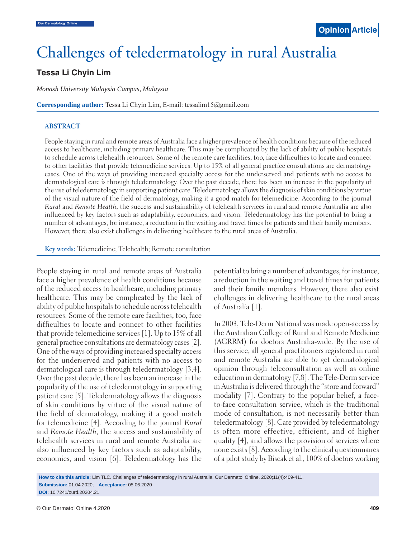# Challenges of teledermatology in rural Australia

## **Tessa Li Chyin Lim**

*Monash University Malaysia Campus, Malaysia*

**Corresponding author:** Tessa Li Chyin Lim, E-mail: tessalim15@gmail.com

#### **ABSTRACT**

People staying in rural and remote areas of Australia face a higher prevalence of health conditions because of the reduced access to healthcare, including primary healthcare. This may be complicated by the lack of ability of public hospitals to schedule across telehealth resources. Some of the remote care facilities, too, face difficulties to locate and connect to other facilities that provide telemedicine services. Up to 15% of all general practice consultations are dermatology cases. One of the ways of providing increased specialty access for the underserved and patients with no access to dermatological care is through teledermatology. Over the past decade, there has been an increase in the popularity of the use of teledermatology in supporting patient care. Teledermatology allows the diagnosis of skin conditions by virtue of the visual nature of the field of dermatology, making it a good match for telemedicine. According to the journal *Rural* and *Remote Health*, the success and sustainability of telehealth services in rural and remote Australia are also influenced by key factors such as adaptability, economics, and vision. Teledermatology has the potential to bring a number of advantages, for instance, a reduction in the waiting and travel times for patients and their family members. However, there also exist challenges in delivering healthcare to the rural areas of Australia.

**Key words:** Telemedicine; Telehealth; Remote consultation

People staying in rural and remote areas of Australia face a higher prevalence of health conditions because of the reduced access to healthcare, including primary healthcare. This may be complicated by the lack of ability of public hospitals to schedule across telehealth resources. Some of the remote care facilities, too, face difficulties to locate and connect to other facilities that provide telemedicine services [1]. Up to 15% of all general practice consultations are dermatology cases [2]. One of the ways of providing increased specialty access for the underserved and patients with no access to dermatological care is through teledermatology [3,4]. Over the past decade, there has been an increase in the popularity of the use of teledermatology in supporting patient care [5]. Teledermatology allows the diagnosis of skin conditions by virtue of the visual nature of the field of dermatology, making it a good match for telemedicine [4]. According to the journal *Rural* and *Remote Health*, the success and sustainability of telehealth services in rural and remote Australia are also influenced by key factors such as adaptability, economics, and vision [6]. Teledermatology has the potential to bring a number of advantages, for instance, a reduction in the waiting and travel times for patients and their family members. However, there also exist challenges in delivering healthcare to the rural areas of Australia [1].

In 2003, Tele-Derm National was made open-access by the Australian College of Rural and Remote Medicine (ACRRM) for doctors Australia-wide. By the use of this service, all general practitioners registered in rural and remote Australia are able to get dermatological opinion through teleconsultation as well as online education in dermatology [7,8]. The Tele-Derm service in Australia is delivered through the "store and forward" modality [7]. Contrary to the popular belief, a faceto-face consultation service, which is the traditional mode of consultation, is not necessarily better than teledermatology [8]. Care provided by teledermatology is often more effective, efficient, and of higher quality [4], and allows the provision of services where none exists [8]. According to the clinical questionnaires of a pilot study by Biscak et al., 100% of doctors working

**How to cite this article:** Lim TLC. Challenges of teledermatology in rural Australia. Our Dermatol Online. 2020;11(4):409-411. **Submission:** 01.04.2020; **Acceptance:** 05.06.2020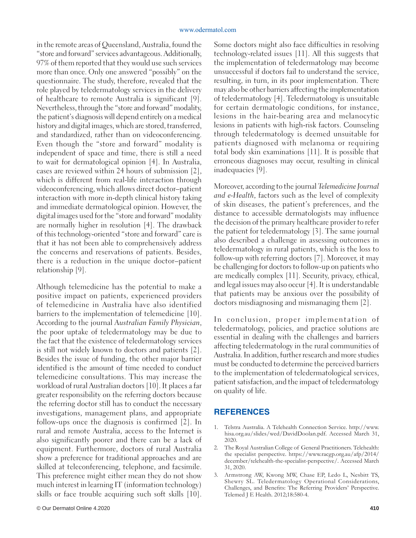in the remote areas of Queensland, Australia, found the "store and forward" services advantageous. Additionally, 97% of them reported that they would use such services more than once. Only one answered "possibly" on the questionnaire. The study, therefore, revealed that the role played by teledermatology services in the delivery of healthcare to remote Australia is significant [9]. Nevertheless, through the "store and forward" modality, the patient's diagnosis will depend entirely on a medical history and digital images, which are stored, transferred, and standardized, rather than on videoconferencing. Even though the "store and forward" modality is independent of space and time, there is still a need to wait for dermatological opinion [4]. In Australia, cases are reviewed within 24 hours of submission [2], which is different from real-life interaction through videoconferencing, which allows direct doctor–patient interaction with more in-depth clinical history taking and immediate dermatological opinion. However, the digital images used for the "store and forward" modality are normally higher in resolution [4]. The drawback of this technology-oriented "store and forward" care is that it has not been able to comprehensively address the concerns and reservations of patients. Besides, there is a reduction in the unique doctor–patient relationship [9].

Although telemedicine has the potential to make a positive impact on patients, experienced providers of telemedicine in Australia have also identified barriers to the implementation of telemedicine [10]. According to the journal *Australian Family Physician*, the poor uptake of teledermatology may be due to the fact that the existence of teledermatology services is still not widely known to doctors and patients [2]. Besides the issue of funding, the other major barrier identified is the amount of time needed to conduct telemedicine consultations. This may increase the workload of rural Australian doctors [10]. It places a far greater responsibility on the referring doctors because the referring doctor still has to conduct the necessary investigations, management plans, and appropriate follow-ups once the diagnosis is confirmed [2]. In rural and remote Australia, access to the Internet is also significantly poorer and there can be a lack of equipment. Furthermore, doctors of rural Australia show a preference for traditional approaches and are skilled at teleconferencing, telephone, and facsimile. This preference might either mean they do not show much interest in learning IT (information technology) skills or face trouble acquiring such soft skills [10].

Some doctors might also face difficulties in resolving technology-related issues [11]. All this suggests that the implementation of teledermatology may become unsuccessful if doctors fail to understand the service, resulting, in turn, in its poor implementation. There may also be other barriers affecting the implementation of teledermatology [4]. Teledermatology is unsuitable for certain dermatologic conditions, for instance, lesions in the hair-bearing area and melanocytic lesions in patients with high-risk factors. Counseling through teledermatology is deemed unsuitable for patients diagnosed with melanoma or requiring total body skin examinations [11]. It is possible that erroneous diagnoses may occur, resulting in clinical inadequacies [9].

Moreover, according to the journal *Telemedicine Journal and e-Health*, factors such as the level of complexity of skin diseases, the patient's preferences, and the distance to accessible dermatologists may influence the decision of the primary healthcare provider to refer the patient for teledermatology [3]. The same journal also described a challenge in assessing outcomes in teledermatology in rural patients, which is the loss to follow-up with referring doctors [7]. Moreover, it may be challenging for doctors to follow-up on patients who are medically complex [11]. Security, privacy, ethical, and legal issues may also occur [4]. It is understandable that patients may be anxious over the possibility of doctors misdiagnosing and mismanaging them [2].

In conclusion, proper implementation of teledermatology, policies, and practice solutions are essential in dealing with the challenges and barriers affecting teledermatology in the rural communities of Australia. In addition, further research and more studies must be conducted to determine the perceived barriers to the implementation of teledermatological services, patient satisfaction, and the impact of teledermatology on quality of life.

### **REFERENCES**

- 1. Telstra Australia. A Telehealth Connection Service. http://www. hisa.org.au/slides/wed/DavidDoolan.pdf. Accessed March 31, 2020.
- 2. The Royal Australian College of General Practitioners. Telehealth: the specialist perspective. https://www.racgp.org.au/afp/2014/ december/telehealth-the-specialist-perspective/. Accessed March 31, 2020.
- 3. Armstrong AW, Kwong MW, Chase EP, Ledo L, Nesbitt TS, Shewry SL. Teledermatology Operational Considerations, Challenges, and Benefits: The Referring Providers' Perspective. Telemed J E Health. 2012;18:580-4.